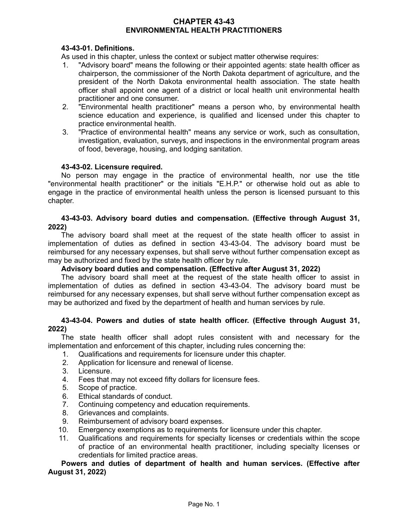# **CHAPTER 43-43 ENVIRONMENTAL HEALTH PRACTITIONERS**

# **43-43-01. Definitions.**

As used in this chapter, unless the context or subject matter otherwise requires:

- 1. "Advisory board" means the following or their appointed agents: state health officer as chairperson, the commissioner of the North Dakota department of agriculture, and the president of the North Dakota environmental health association. The state health officer shall appoint one agent of a district or local health unit environmental health practitioner and one consumer.
- 2. "Environmental health practitioner" means a person who, by environmental health science education and experience, is qualified and licensed under this chapter to practice environmental health.
- 3. "Practice of environmental health" means any service or work, such as consultation, investigation, evaluation, surveys, and inspections in the environmental program areas of food, beverage, housing, and lodging sanitation.

#### **43-43-02. Licensure required.**

No person may engage in the practice of environmental health, nor use the title "environmental health practitioner" or the initials "E.H.P." or otherwise hold out as able to engage in the practice of environmental health unless the person is licensed pursuant to this chapter.

#### **43-43-03. Advisory board duties and compensation. (Effective through August 31, 2022)**

The advisory board shall meet at the request of the state health officer to assist in implementation of duties as defined in section 43-43-04. The advisory board must be reimbursed for any necessary expenses, but shall serve without further compensation except as may be authorized and fixed by the state health officer by rule.

#### **Advisory board duties and compensation. (Effective after August 31, 2022)**

The advisory board shall meet at the request of the state health officer to assist in implementation of duties as defined in section 43-43-04. The advisory board must be reimbursed for any necessary expenses, but shall serve without further compensation except as may be authorized and fixed by the department of health and human services by rule.

## **43-43-04. Powers and duties of state health officer. (Effective through August 31, 2022)**

The state health officer shall adopt rules consistent with and necessary for the implementation and enforcement of this chapter, including rules concerning the:

- 1. Qualifications and requirements for licensure under this chapter.
- 2. Application for licensure and renewal of license.
- 3. Licensure.
- 4. Fees that may not exceed fifty dollars for licensure fees.
- 5. Scope of practice.
- 6. Ethical standards of conduct.
- 7. Continuing competency and education requirements.
- 8. Grievances and complaints.
- 9. Reimbursement of advisory board expenses.
- 10. Emergency exemptions as to requirements for licensure under this chapter.
- 11. Qualifications and requirements for specialty licenses or credentials within the scope of practice of an environmental health practitioner, including specialty licenses or credentials for limited practice areas.

**Powers and duties of department of health and human services. (Effective after August 31, 2022)**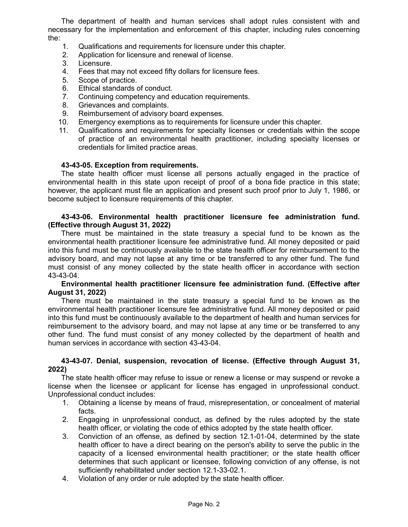The department of health and human services shall adopt rules consistent with and necessary for the implementation and enforcement of this chapter, including rules concerning the:

- 1. Qualifications and requirements for licensure under this chapter.
- 2. Application for licensure and renewal of license.
- 3. Licensure.
- 4. Fees that may not exceed fifty dollars for licensure fees.
- 5. Scope of practice.
- 6. Ethical standards of conduct.
- 7. Continuing competency and education requirements.
- 8. Grievances and complaints.
- 9. Reimbursement of advisory board expenses.
- 10. Emergency exemptions as to requirements for licensure under this chapter.
- 11. Qualifications and requirements for specialty licenses or credentials within the scope of practice of an environmental health practitioner, including specialty licenses or credentials for limited practice areas.

#### **43-43-05. Exception from requirements.**

The state health officer must license all persons actually engaged in the practice of environmental health in this state upon receipt of proof of a bona fide practice in this state; however, the applicant must file an application and present such proof prior to July 1, 1986, or become subject to licensure requirements of this chapter.

### **43-43-06. Environmental health practitioner licensure fee administration fund. (Effective through August 31, 2022)**

There must be maintained in the state treasury a special fund to be known as the environmental health practitioner licensure fee administrative fund. All money deposited or paid into this fund must be continuously available to the state health officer for reimbursement to the advisory board, and may not lapse at any time or be transferred to any other fund. The fund must consist of any money collected by the state health officer in accordance with section 43-43-04.

#### **Environmental health practitioner licensure fee administration fund. (Effective after August 31, 2022)**

There must be maintained in the state treasury a special fund to be known as the environmental health practitioner licensure fee administrative fund. All money deposited or paid into this fund must be continuously available to the department of health and human services for reimbursement to the advisory board, and may not lapse at any time or be transferred to any other fund. The fund must consist of any money collected by the department of health and human services in accordance with section 43-43-04.

#### **43-43-07. Denial, suspension, revocation of license. (Effective through August 31, 2022)**

The state health officer may refuse to issue or renew a license or may suspend or revoke a license when the licensee or applicant for license has engaged in unprofessional conduct. Unprofessional conduct includes:

- 1. Obtaining a license by means of fraud, misrepresentation, or concealment of material facts.
- 2. Engaging in unprofessional conduct, as defined by the rules adopted by the state health officer, or violating the code of ethics adopted by the state health officer.
- 3. Conviction of an offense, as defined by section 12.1-01-04, determined by the state health officer to have a direct bearing on the person's ability to serve the public in the capacity of a licensed environmental health practitioner; or the state health officer determines that such applicant or licensee, following conviction of any offense, is not sufficiently rehabilitated under section 12.1-33-02.1.
- 4. Violation of any order or rule adopted by the state health officer.